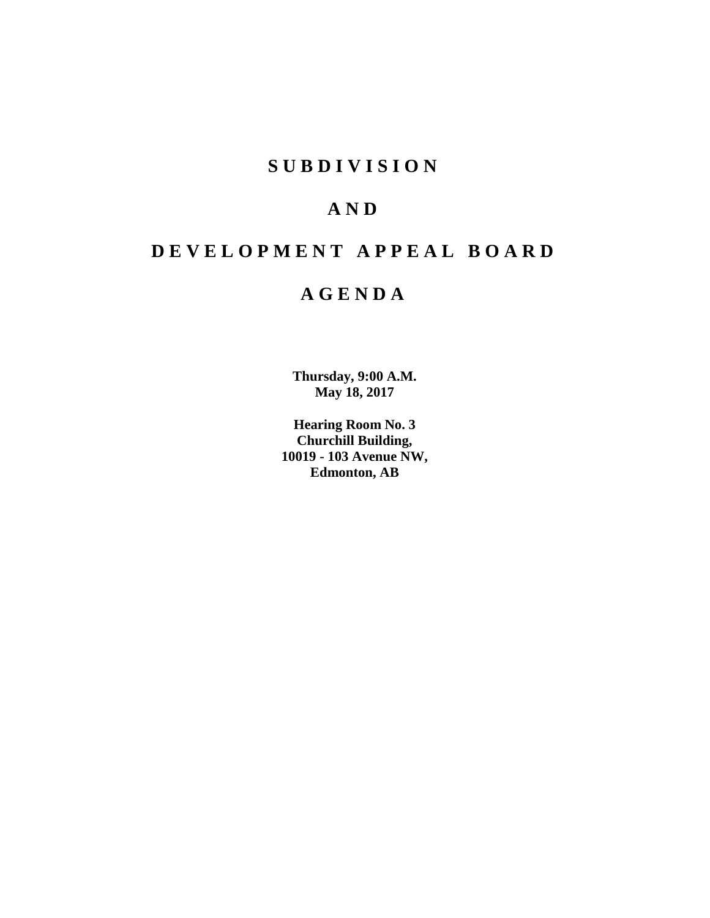# **SUBDIVISION**

# **AND**

# **DEVELOPMENT APPEAL BOARD**

# **AGENDA**

**Thursday, 9:00 A.M. May 18, 2017**

**Hearing Room No. 3 Churchill Building, 10019 - 103 Avenue NW, Edmonton, AB**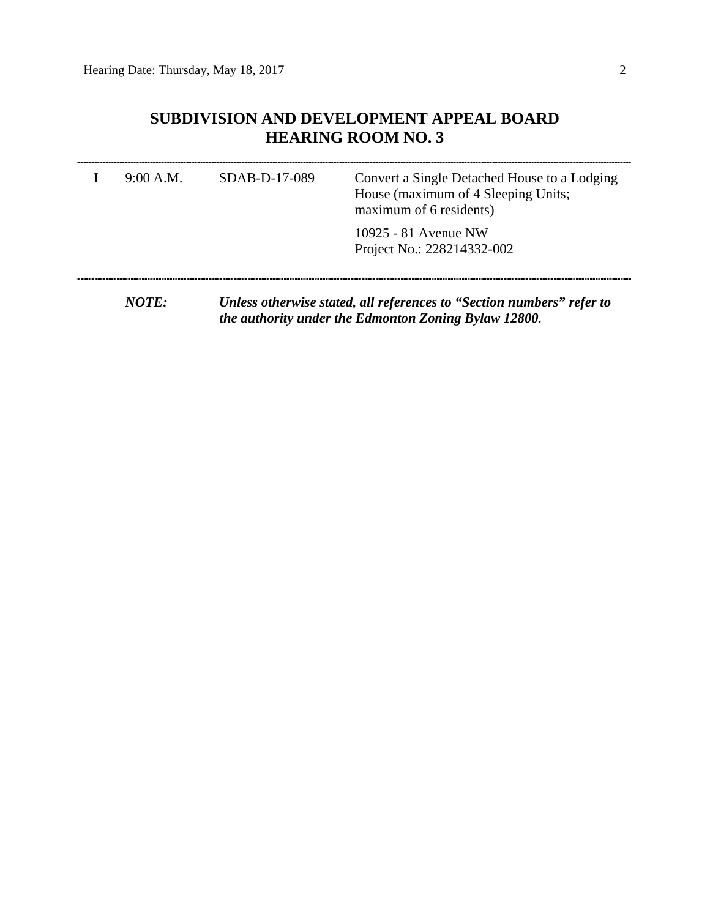# **SUBDIVISION AND DEVELOPMENT APPEAL BOARD HEARING ROOM NO. 3**

| 9:00 A.M.    | $SDAB-D-17-089$ | Convert a Single Detached House to a Lodging<br>House (maximum of 4 Sleeping Units;<br>maximum of 6 residents) |
|--------------|-----------------|----------------------------------------------------------------------------------------------------------------|
|              |                 | 10925 - 81 Avenue NW<br>Project No.: 228214332-002                                                             |
| <i>NOTE:</i> |                 | Unless otherwise stated, all references to "Section numbers" refer to                                          |

*the authority under the Edmonton Zoning Bylaw 12800.*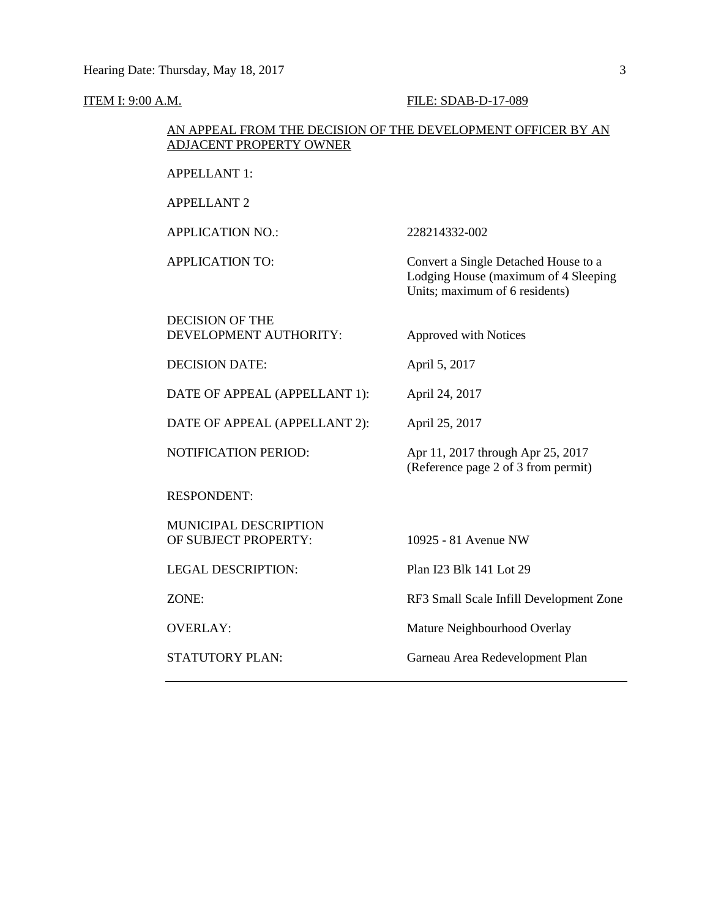#### ITEM I: 9:00 A.M. FILE: SDAB-D-17-089

# AN APPEAL FROM THE DECISION OF THE DEVELOPMENT OFFICER BY AN ADJACENT PROPERTY OWNER

APPELLANT 1:

APPELLANT 2

APPLICATION NO.: 228214332-002

APPLICATION TO: Convert a Single Detached House to a

DECISION OF THE DEVELOPMENT AUTHORITY: Approved with Notices

DECISION DATE: April 5, 2017

DATE OF APPEAL (APPELLANT 1): April 24, 2017

DATE OF APPEAL (APPELLANT 2): April 25, 2017

RESPONDENT:

MUNICIPAL DESCRIPTION OF SUBJECT PROPERTY: 10925 - 81 Avenue NW

LEGAL DESCRIPTION: Plan I23 Blk 141 Lot 29

NOTIFICATION PERIOD: Apr 11, 2017 through Apr 25, 2017 (Reference page 2 of 3 from permit)

Lodging House (maximum of 4 Sleeping

Units; maximum of 6 residents)

ZONE: RF3 Small Scale Infill Development Zone

OVERLAY: Mature Neighbourhood Overlay

STATUTORY PLAN: Garneau Area Redevelopment Plan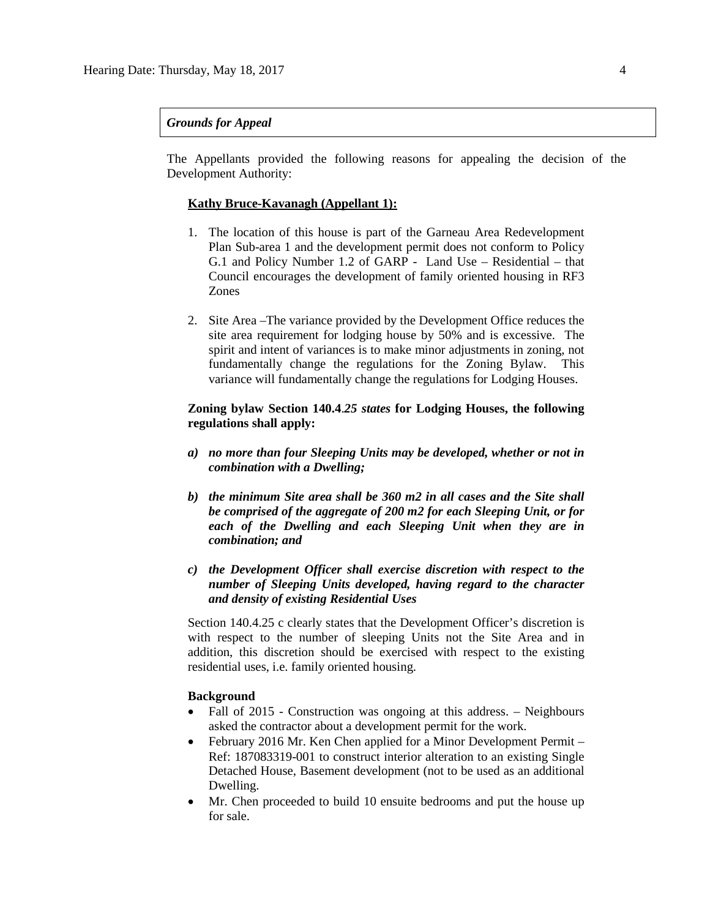### *Grounds for Appeal*

The Appellants provided the following reasons for appealing the decision of the Development Authority:

## **Kathy Bruce-Kavanagh (Appellant 1):**

- 1. The location of this house is part of the Garneau Area Redevelopment Plan Sub-area 1 and the development permit does not conform to Policy G.1 and Policy Number 1.2 of GARP - Land Use – Residential – that Council encourages the development of family oriented housing in RF3 Zones
- 2. Site Area –The variance provided by the Development Office reduces the site area requirement for lodging house by 50% and is excessive. The spirit and intent of variances is to make minor adjustments in zoning, not fundamentally change the regulations for the Zoning Bylaw. This variance will fundamentally change the regulations for Lodging Houses.

## **Zoning bylaw Section 140.4**.*25 states* **for Lodging Houses, the following regulations shall apply:**

- *a) no more than four Sleeping Units may be developed, whether or not in combination with a Dwelling;*
- *b) the minimum Site area shall be 360 m2 in all cases and the Site shall be comprised of the aggregate of 200 m2 for each Sleeping Unit, or for each of the Dwelling and each Sleeping Unit when they are in combination; and*
- *c) the Development Officer shall exercise discretion with respect to the number of Sleeping Units developed, having regard to the character and density of existing Residential Uses*

Section 140.4.25 c clearly states that the Development Officer's discretion is with respect to the number of sleeping Units not the Site Area and in addition, this discretion should be exercised with respect to the existing residential uses, i.e. family oriented housing.

#### **Background**

- Fall of 2015 Construction was ongoing at this address. Neighbours asked the contractor about a development permit for the work.
- February 2016 Mr. Ken Chen applied for a Minor Development Permit Ref: 187083319-001 to construct interior alteration to an existing Single Detached House, Basement development (not to be used as an additional Dwelling.
- Mr. Chen proceeded to build 10 ensuite bedrooms and put the house up for sale.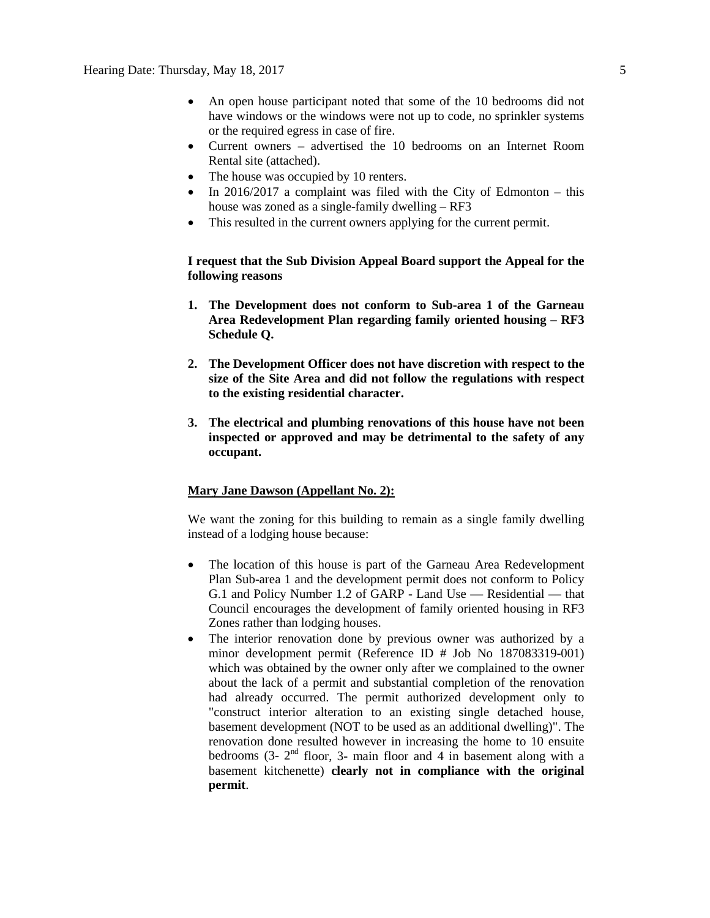- An open house participant noted that some of the 10 bedrooms did not have windows or the windows were not up to code, no sprinkler systems or the required egress in case of fire.
- Current owners advertised the 10 bedrooms on an Internet Room Rental site (attached).
- The house was occupied by 10 renters.
- In  $2016/2017$  a complaint was filed with the City of Edmonton this house was zoned as a single-family dwelling – RF3
- This resulted in the current owners applying for the current permit.

# **I request that the Sub Division Appeal Board support the Appeal for the following reasons**

- **1. The Development does not conform to Sub-area 1 of the Garneau Area Redevelopment Plan regarding family oriented housing – RF3 Schedule Q.**
- **2. The Development Officer does not have discretion with respect to the size of the Site Area and did not follow the regulations with respect to the existing residential character.**
- **3. The electrical and plumbing renovations of this house have not been inspected or approved and may be detrimental to the safety of any occupant.**

# **Mary Jane Dawson (Appellant No. 2):**

We want the zoning for this building to remain as a single family dwelling instead of a lodging house because:

- The location of this house is part of the Garneau Area Redevelopment Plan Sub-area 1 and the development permit does not conform to Policy G.1 and Policy Number 1.2 of GARP - Land Use — Residential — that Council encourages the development of family oriented housing in RF3 Zones rather than lodging houses.
- The interior renovation done by previous owner was authorized by a minor development permit (Reference ID # Job No 187083319-001) which was obtained by the owner only after we complained to the owner about the lack of a permit and substantial completion of the renovation had already occurred. The permit authorized development only to "construct interior alteration to an existing single detached house, basement development (NOT to be used as an additional dwelling)". The renovation done resulted however in increasing the home to 10 ensuite bedrooms  $(3 - 2<sup>nd</sup>$  floor, 3- main floor and 4 in basement along with a basement kitchenette) **clearly not in compliance with the original permit**.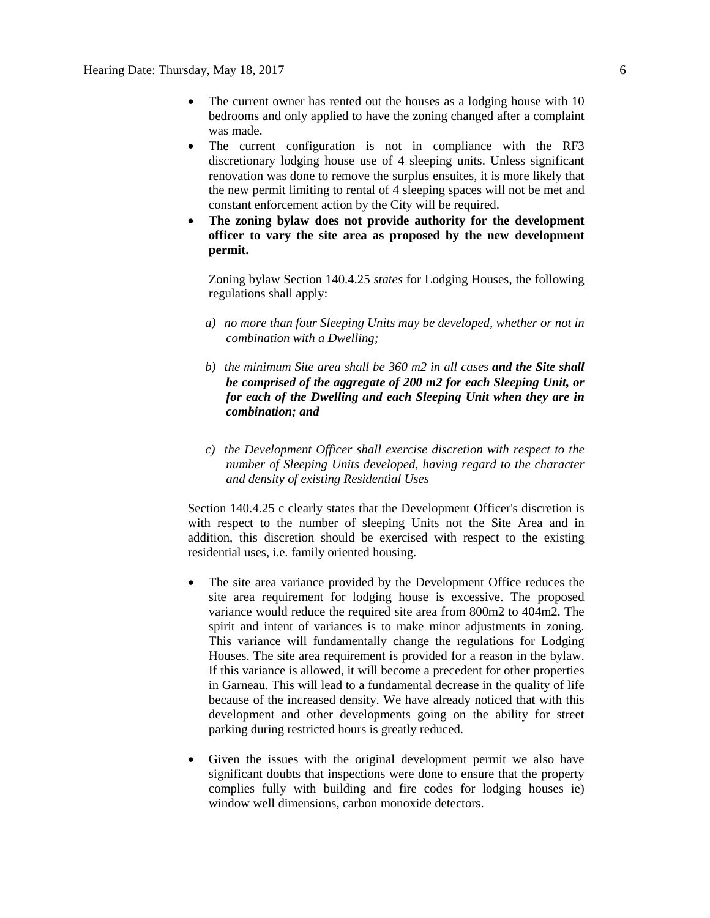- The current owner has rented out the houses as a lodging house with 10 bedrooms and only applied to have the zoning changed after a complaint was made.
- The current configuration is not in compliance with the RF3 discretionary lodging house use of 4 sleeping units. Unless significant renovation was done to remove the surplus ensuites, it is more likely that the new permit limiting to rental of 4 sleeping spaces will not be met and constant enforcement action by the City will be required.
- **The zoning bylaw does not provide authority for the development officer to vary the site area as proposed by the new development permit.**

Zoning bylaw Section 140.4.25 *states* for Lodging Houses, the following regulations shall apply:

- *a) no more than four Sleeping Units may be developed, whether or not in combination with a Dwelling;*
- *b) the minimum Site area shall be 360 m2 in all cases and the Site shall be comprised of the aggregate of 200 m2 for each Sleeping Unit, or for each of the Dwelling and each Sleeping Unit when they are in combination; and*
- *c) the Development Officer shall exercise discretion with respect to the number of Sleeping Units developed, having regard to the character and density of existing Residential Uses*

Section 140.4.25 c clearly states that the Development Officer's discretion is with respect to the number of sleeping Units not the Site Area and in addition, this discretion should be exercised with respect to the existing residential uses, i.e. family oriented housing.

- The site area variance provided by the Development Office reduces the site area requirement for lodging house is excessive. The proposed variance would reduce the required site area from 800m2 to 404m2. The spirit and intent of variances is to make minor adjustments in zoning. This variance will fundamentally change the regulations for Lodging Houses. The site area requirement is provided for a reason in the bylaw. If this variance is allowed, it will become a precedent for other properties in Garneau. This will lead to a fundamental decrease in the quality of life because of the increased density. We have already noticed that with this development and other developments going on the ability for street parking during restricted hours is greatly reduced.
- Given the issues with the original development permit we also have significant doubts that inspections were done to ensure that the property complies fully with building and fire codes for lodging houses ie) window well dimensions, carbon monoxide detectors.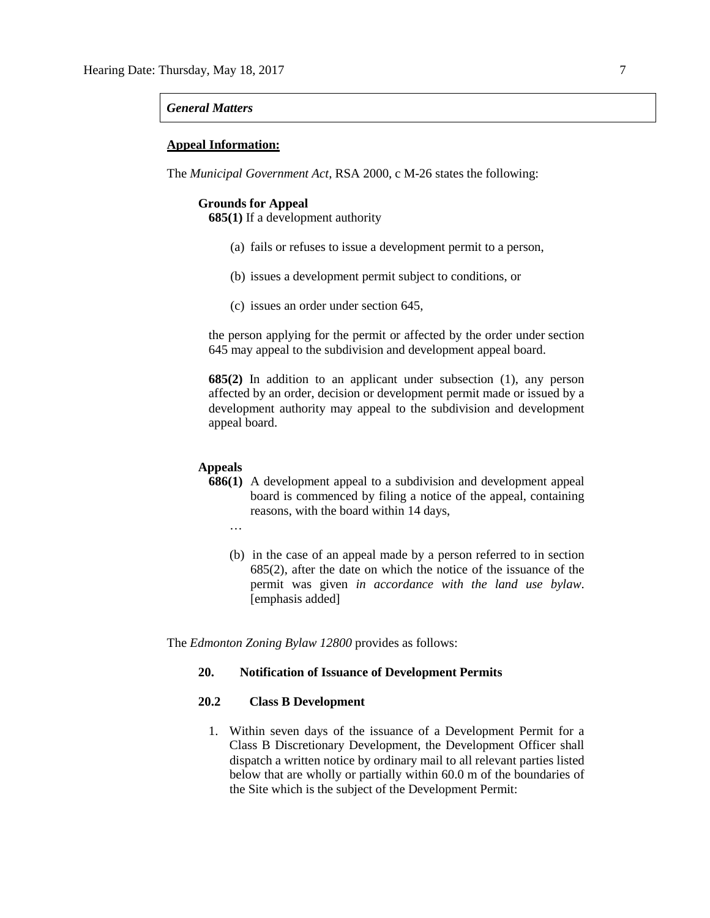#### *General Matters*

#### **Appeal Information:**

The *Municipal Government Act*, RSA 2000, c M-26 states the following:

### **Grounds for Appeal**

**685(1)** If a development authority

- (a) fails or refuses to issue a development permit to a person,
- (b) issues a development permit subject to conditions, or
- (c) issues an order under section 645,

the person applying for the permit or affected by the order under section 645 may appeal to the subdivision and development appeal board.

**685(2)** In addition to an applicant under subsection (1), any person affected by an order, decision or development permit made or issued by a development authority may appeal to the subdivision and development appeal board.

#### **Appeals**

…

- **686(1)** A development appeal to a subdivision and development appeal board is commenced by filing a notice of the appeal, containing reasons, with the board within 14 days,
- (b) in the case of an appeal made by a person referred to in section 685(2), after the date on which the notice of the issuance of the permit was given *in accordance with the land use bylaw*. [emphasis added]

The *Edmonton Zoning Bylaw 12800* provides as follows:

# **20. Notification of Issuance of Development Permits**

### **20.2 Class B Development**

1. Within seven days of the issuance of a Development Permit for a Class B Discretionary Development, the Development Officer shall dispatch a written notice by ordinary mail to all relevant parties listed below that are wholly or partially within 60.0 m of the boundaries of the Site which is the subject of the Development Permit: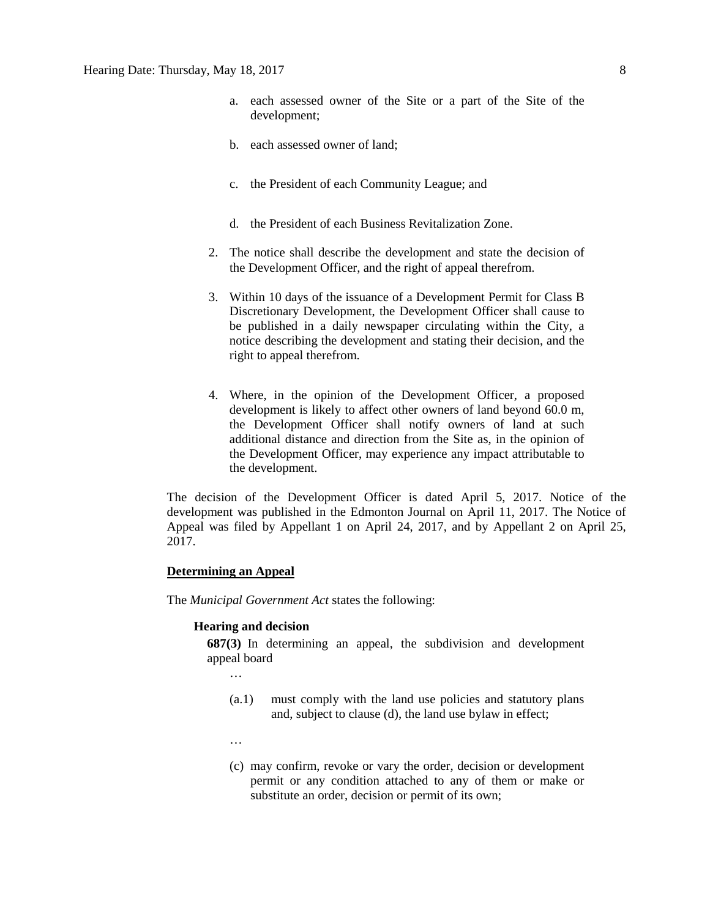- a. each assessed owner of the Site or a part of the Site of the development;
- b. each assessed owner of land;
- c. the President of each Community League; and
- d. the President of each Business Revitalization Zone.
- 2. The notice shall describe the development and state the decision of the Development Officer, and the right of appeal therefrom.
- 3. Within 10 days of the issuance of a Development Permit for Class B Discretionary Development, the Development Officer shall cause to be published in a daily newspaper circulating within the City, a notice describing the development and stating their decision, and the right to appeal therefrom.
- 4. Where, in the opinion of the Development Officer, a proposed development is likely to affect other owners of land beyond 60.0 m, the Development Officer shall notify owners of land at such additional distance and direction from the Site as, in the opinion of the Development Officer, may experience any impact attributable to the development.

The decision of the Development Officer is dated April 5, 2017. Notice of the development was published in the Edmonton Journal on April 11, 2017. The Notice of Appeal was filed by Appellant 1 on April 24, 2017, and by Appellant 2 on April 25, 2017.

#### **Determining an Appeal**

The *Municipal Government Act* states the following:

### **Hearing and decision**

**687(3)** In determining an appeal, the subdivision and development appeal board

…

- (a.1) must comply with the land use policies and statutory plans and, subject to clause (d), the land use bylaw in effect;
- …
- (c) may confirm, revoke or vary the order, decision or development permit or any condition attached to any of them or make or substitute an order, decision or permit of its own;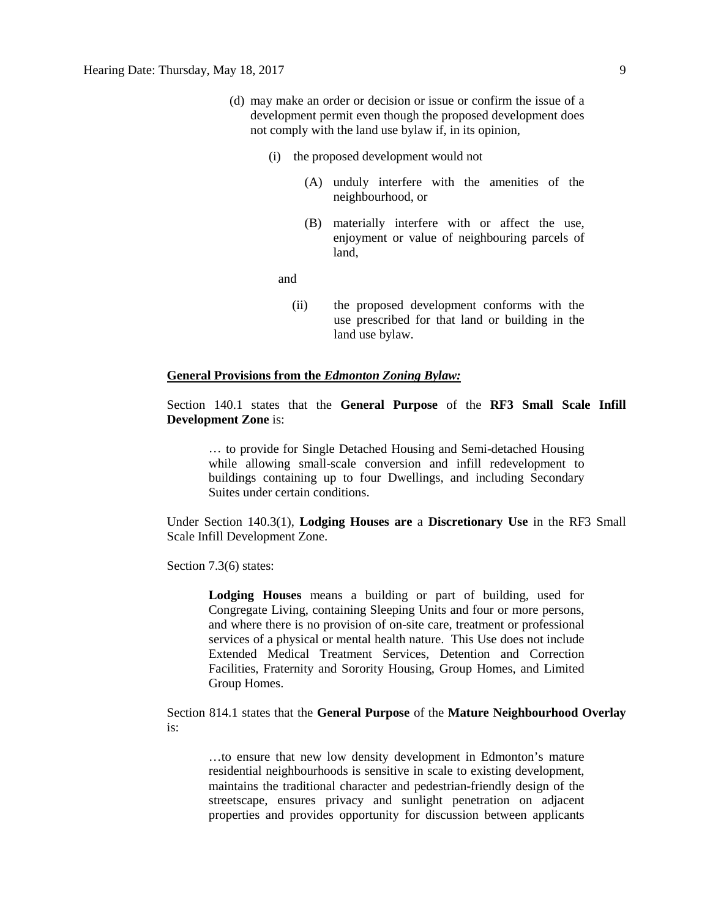- (d) may make an order or decision or issue or confirm the issue of a development permit even though the proposed development does not comply with the land use bylaw if, in its opinion,
	- (i) the proposed development would not
		- (A) unduly interfere with the amenities of the neighbourhood, or
		- (B) materially interfere with or affect the use, enjoyment or value of neighbouring parcels of land,

and

(ii) the proposed development conforms with the use prescribed for that land or building in the land use bylaw.

### **General Provisions from the** *Edmonton Zoning Bylaw:*

Section 140.1 states that the **General Purpose** of the **RF3 Small Scale Infill Development Zone** is:

… to provide for Single Detached Housing and Semi-detached Housing while allowing small-scale conversion and infill redevelopment to buildings containing up to four Dwellings, and including Secondary Suites under certain conditions.

Under Section 140.3(1), **Lodging Houses are** a **Discretionary Use** in the RF3 Small Scale Infill Development Zone.

Section 7.3(6) states:

**Lodging Houses** means a building or part of building, used for Congregate Living, containing Sleeping Units and four or more persons, and where there is no provision of on-site care, treatment or professional services of a physical or mental health nature. This Use does not include Extended Medical Treatment Services, Detention and Correction Facilities, Fraternity and Sorority Housing, Group Homes, and Limited Group Homes.

Section 814.1 states that the **General Purpose** of the **Mature Neighbourhood Overlay** is:

…to ensure that new low density development in Edmonton's mature residential neighbourhoods is sensitive in scale to existing development, maintains the traditional character and pedestrian-friendly design of the streetscape, ensures privacy and sunlight penetration on adjacent properties and provides opportunity for discussion between applicants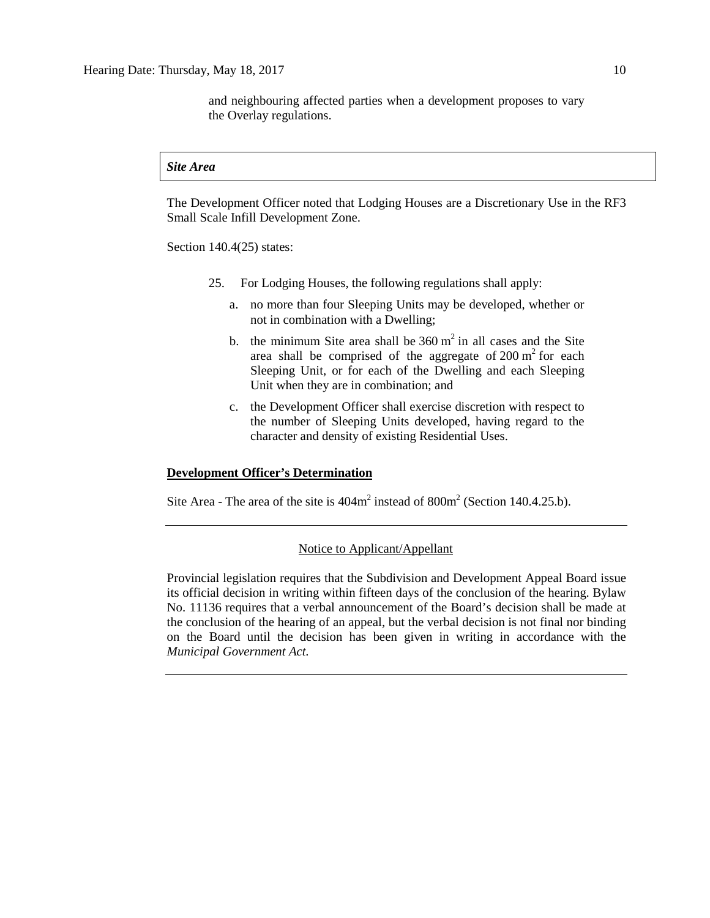and neighbouring affected parties when a development proposes to vary the Overlay regulations.

#### *Site Area*

The Development Officer noted that Lodging Houses are a Discretionary Use in the RF3 Small Scale Infill Development Zone.

Section 140.4(25) states:

- 25. For Lodging Houses, the following regulations shall apply:
	- a. no more than four Sleeping Units may be developed, whether or not in combination with a Dwelling;
	- b. the minimum Site area shall be  $360 \text{ m}^2$  in all cases and the Site area shall be comprised of the aggregate of  $200 \text{ m}^2$  for each Sleeping Unit, or for each of the Dwelling and each Sleeping Unit when they are in combination; and
	- c. the Development Officer shall exercise discretion with respect to the number of Sleeping Units developed, having regard to the character and density of existing Residential Uses.

### **Development Officer's Determination**

Site Area - The area of the site is  $404m^2$  instead of  $800m^2$  (Section 140.4.25.b).

# Notice to Applicant/Appellant

Provincial legislation requires that the Subdivision and Development Appeal Board issue its official decision in writing within fifteen days of the conclusion of the hearing. Bylaw No. 11136 requires that a verbal announcement of the Board's decision shall be made at the conclusion of the hearing of an appeal, but the verbal decision is not final nor binding on the Board until the decision has been given in writing in accordance with the *Municipal Government Act.*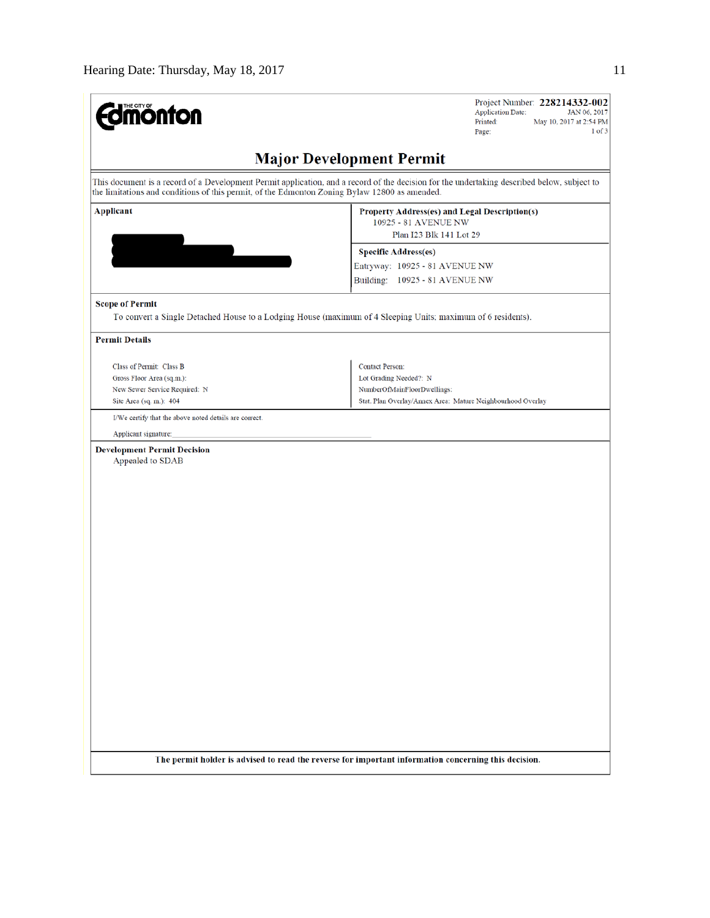| <b>mönton</b>                                                                                                                                                                                                                                | Project Number: 228214332-002<br><b>Application Date:</b><br>JAN 06, 2017<br>Printed:<br>May 10, 2017 at 2:54 PM<br>$1$ of $3$<br>Page: |  |  |  |  |  |  |
|----------------------------------------------------------------------------------------------------------------------------------------------------------------------------------------------------------------------------------------------|-----------------------------------------------------------------------------------------------------------------------------------------|--|--|--|--|--|--|
|                                                                                                                                                                                                                                              | <b>Major Development Permit</b>                                                                                                         |  |  |  |  |  |  |
| This document is a record of a Development Permit application, and a record of the decision for the undertaking described below, subject to<br>the limitations and conditions of this permit, of the Edmonton Zoning Bylaw 12800 as amended. |                                                                                                                                         |  |  |  |  |  |  |
| <b>Applicant</b>                                                                                                                                                                                                                             | Property Address(es) and Legal Description(s)<br>10925 - 81 AVENUE NW                                                                   |  |  |  |  |  |  |
|                                                                                                                                                                                                                                              | Plan I23 Blk 141 Lot 29                                                                                                                 |  |  |  |  |  |  |
|                                                                                                                                                                                                                                              | <b>Specific Address(es)</b>                                                                                                             |  |  |  |  |  |  |
|                                                                                                                                                                                                                                              | Entryway: 10925 - 81 AVENUE NW<br>Building: 10925 - 81 AVENUE NW                                                                        |  |  |  |  |  |  |
| <b>Scope of Permit</b>                                                                                                                                                                                                                       |                                                                                                                                         |  |  |  |  |  |  |
| To convert a Single Detached House to a Lodging House (maximum of 4 Sleeping Units; maximum of 6 residents).                                                                                                                                 |                                                                                                                                         |  |  |  |  |  |  |
| <b>Permit Details</b>                                                                                                                                                                                                                        |                                                                                                                                         |  |  |  |  |  |  |
| Class of Permit: Class B                                                                                                                                                                                                                     | <b>Contact Person:</b>                                                                                                                  |  |  |  |  |  |  |
| Gross Floor Area (sq.m.):                                                                                                                                                                                                                    | Lot Grading Needed?: N                                                                                                                  |  |  |  |  |  |  |
| New Sewer Service Required: N                                                                                                                                                                                                                | NumberOfMainFloorDwellings:                                                                                                             |  |  |  |  |  |  |
| Site Area (sq. m.): 404                                                                                                                                                                                                                      | Stat. Plan Overlay/Annex Area: Mature Neighbourhood Overlay                                                                             |  |  |  |  |  |  |
| I/We certify that the above noted details are correct.                                                                                                                                                                                       |                                                                                                                                         |  |  |  |  |  |  |
| Applicant signature:                                                                                                                                                                                                                         |                                                                                                                                         |  |  |  |  |  |  |
| <b>Development Permit Decision</b><br>Appealed to SDAB                                                                                                                                                                                       |                                                                                                                                         |  |  |  |  |  |  |
|                                                                                                                                                                                                                                              |                                                                                                                                         |  |  |  |  |  |  |
|                                                                                                                                                                                                                                              |                                                                                                                                         |  |  |  |  |  |  |
|                                                                                                                                                                                                                                              |                                                                                                                                         |  |  |  |  |  |  |
|                                                                                                                                                                                                                                              |                                                                                                                                         |  |  |  |  |  |  |
|                                                                                                                                                                                                                                              |                                                                                                                                         |  |  |  |  |  |  |
|                                                                                                                                                                                                                                              |                                                                                                                                         |  |  |  |  |  |  |
|                                                                                                                                                                                                                                              |                                                                                                                                         |  |  |  |  |  |  |
|                                                                                                                                                                                                                                              |                                                                                                                                         |  |  |  |  |  |  |
|                                                                                                                                                                                                                                              |                                                                                                                                         |  |  |  |  |  |  |
|                                                                                                                                                                                                                                              |                                                                                                                                         |  |  |  |  |  |  |
|                                                                                                                                                                                                                                              |                                                                                                                                         |  |  |  |  |  |  |
|                                                                                                                                                                                                                                              |                                                                                                                                         |  |  |  |  |  |  |
|                                                                                                                                                                                                                                              |                                                                                                                                         |  |  |  |  |  |  |
|                                                                                                                                                                                                                                              |                                                                                                                                         |  |  |  |  |  |  |
|                                                                                                                                                                                                                                              |                                                                                                                                         |  |  |  |  |  |  |
|                                                                                                                                                                                                                                              |                                                                                                                                         |  |  |  |  |  |  |
|                                                                                                                                                                                                                                              |                                                                                                                                         |  |  |  |  |  |  |
|                                                                                                                                                                                                                                              |                                                                                                                                         |  |  |  |  |  |  |
|                                                                                                                                                                                                                                              |                                                                                                                                         |  |  |  |  |  |  |
|                                                                                                                                                                                                                                              |                                                                                                                                         |  |  |  |  |  |  |
| The permit holder is advised to read the reverse for important information concerning this decision.                                                                                                                                         |                                                                                                                                         |  |  |  |  |  |  |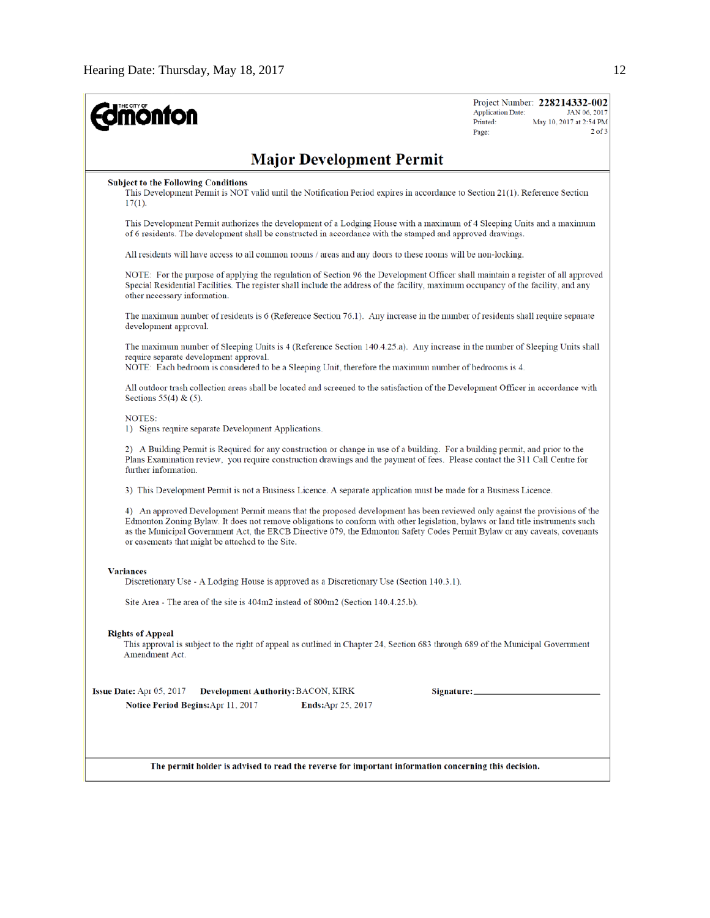| <b>mönton</b>                                                                                                                                                                                                                                                                                                                                                                                                                                 | <b>Application Date:</b><br>Printed:<br>Page: | Project Number: 228214332-002<br>JAN 06, 2017<br>May 10, 2017 at 2:54 PM<br>$2$ of $3$ |  |  |  |
|-----------------------------------------------------------------------------------------------------------------------------------------------------------------------------------------------------------------------------------------------------------------------------------------------------------------------------------------------------------------------------------------------------------------------------------------------|-----------------------------------------------|----------------------------------------------------------------------------------------|--|--|--|
| <b>Major Development Permit</b>                                                                                                                                                                                                                                                                                                                                                                                                               |                                               |                                                                                        |  |  |  |
| <b>Subject to the Following Conditions</b><br>This Development Permit is NOT valid until the Notification Period expires in accordance to Section 21(1). Reference Section<br>$17(1)$ .                                                                                                                                                                                                                                                       |                                               |                                                                                        |  |  |  |
| This Development Permit authorizes the development of a Lodging House with a maximum of 4 Sleeping Units and a maximum<br>of 6 residents. The development shall be constructed in accordance with the stamped and approved drawings.                                                                                                                                                                                                          |                                               |                                                                                        |  |  |  |
| All residents will have access to all common rooms / areas and any doors to these rooms will be non-locking.                                                                                                                                                                                                                                                                                                                                  |                                               |                                                                                        |  |  |  |
| NOTE: For the purpose of applying the regulation of Section 96 the Development Officer shall maintain a register of all approved<br>Special Residential Facilities. The register shall include the address of the facility, maximum occupancy of the facility, and any<br>other necessary information.                                                                                                                                        |                                               |                                                                                        |  |  |  |
| The maximum number of residents is 6 (Reference Section 76.1). Any increase in the number of residents shall require separate<br>development approval.                                                                                                                                                                                                                                                                                        |                                               |                                                                                        |  |  |  |
| The maximum number of Sleeping Units is 4 (Reference Section 140.4.25.a). Any increase in the number of Sleeping Units shall<br>require separate development approval.<br>NOTE: Each bedroom is considered to be a Sleeping Unit, therefore the maximum number of bedrooms is 4.                                                                                                                                                              |                                               |                                                                                        |  |  |  |
| All outdoor trash collection areas shall be located and screened to the satisfaction of the Development Officer in accordance with<br>Sections $55(4)$ & $(5)$ .                                                                                                                                                                                                                                                                              |                                               |                                                                                        |  |  |  |
| NOTES:<br>1) Signs require separate Development Applications.                                                                                                                                                                                                                                                                                                                                                                                 |                                               |                                                                                        |  |  |  |
| 2) A Building Permit is Required for any construction or change in use of a building. For a building permit, and prior to the<br>Plans Examination review, you require construction drawings and the payment of fees. Please contact the 311 Call Centre for<br>further information.                                                                                                                                                          |                                               |                                                                                        |  |  |  |
| 3) This Development Permit is not a Business Licence. A separate application must be made for a Business Licence.                                                                                                                                                                                                                                                                                                                             |                                               |                                                                                        |  |  |  |
| 4) An approved Development Permit means that the proposed development has been reviewed only against the provisions of the<br>Edmonton Zoning Bylaw. It does not remove obligations to conform with other legislation, bylaws or land title instruments such<br>as the Municipal Government Act, the ERCB Directive 079, the Edmonton Safety Codes Permit Bylaw or any caveats, covenants<br>or easements that might be attached to the Site. |                                               |                                                                                        |  |  |  |
| <b>Variances</b><br>Discretionary Use - A Lodging House is approved as a Discretionary Use (Section 140.3.1).                                                                                                                                                                                                                                                                                                                                 |                                               |                                                                                        |  |  |  |
| Site Area - The area of the site is 404m2 instead of 800m2 (Section 140.4.25.b).                                                                                                                                                                                                                                                                                                                                                              |                                               |                                                                                        |  |  |  |
| <b>Rights of Appeal</b><br>This approval is subject to the right of appeal as outlined in Chapter 24, Section 683 through 689 of the Municipal Government<br>Amendment Act.                                                                                                                                                                                                                                                                   |                                               |                                                                                        |  |  |  |
| Issue Date: Apr 05, 2017<br>Development Authority: BACON, KIRK<br>Notice Period Begins: Apr 11, 2017<br><b>Ends:</b> Apr 25, 2017                                                                                                                                                                                                                                                                                                             |                                               |                                                                                        |  |  |  |
| The permit holder is advised to read the reverse for important information concerning this decision.                                                                                                                                                                                                                                                                                                                                          |                                               |                                                                                        |  |  |  |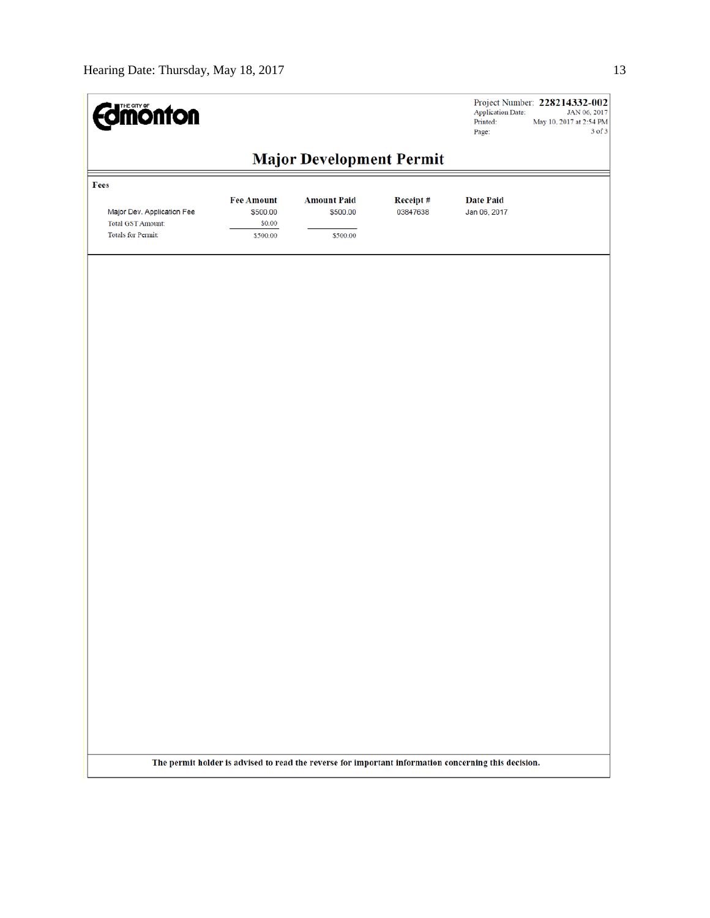